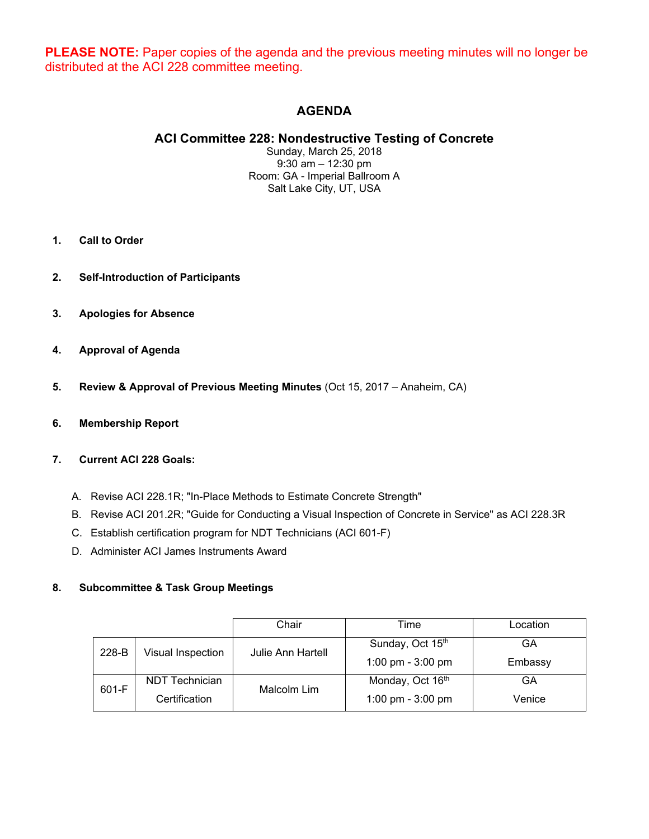**PLEASE NOTE:** Paper copies of the agenda and the previous meeting minutes will no longer be distributed at the ACI 228 committee meeting.

# **AGENDA**

## **ACI Committee 228: Nondestructive Testing of Concrete**

Sunday, March 25, 2018 9:30 am – 12:30 pm Room: GA - Imperial Ballroom A Salt Lake City, UT, USA

- **1. Call to Order**
- **2. Self-Introduction of Participants**
- **3. Apologies for Absence**
- **4. Approval of Agenda**
- **5. Review & Approval of Previous Meeting Minutes** (Oct 15, 2017 Anaheim, CA)
- **6. Membership Report**

#### **7. Current ACI 228 Goals:**

- A. Revise ACI 228.1R; "In-Place Methods to Estimate Concrete Strength"
- B. Revise ACI 201.2R; "Guide for Conducting a Visual Inspection of Concrete in Service" as ACI 228.3R
- C. Establish certification program for NDT Technicians (ACI 601-F)
- D. Administer ACI James Instruments Award

#### **8. Subcommittee & Task Group Meetings**

|       |                   | Chair                    | Time                | Location |
|-------|-------------------|--------------------------|---------------------|----------|
| 228-B | Visual Inspection | <b>Julie Ann Hartell</b> | Sunday, Oct 15th    | GA       |
|       |                   |                          | 1:00 pm - $3:00$ pm | Embassy  |
| 601-F | NDT Technician    | Malcolm Lim              | Monday, Oct 16th    | GА       |
|       | Certification     |                          | 1:00 pm - $3:00$ pm | Venice   |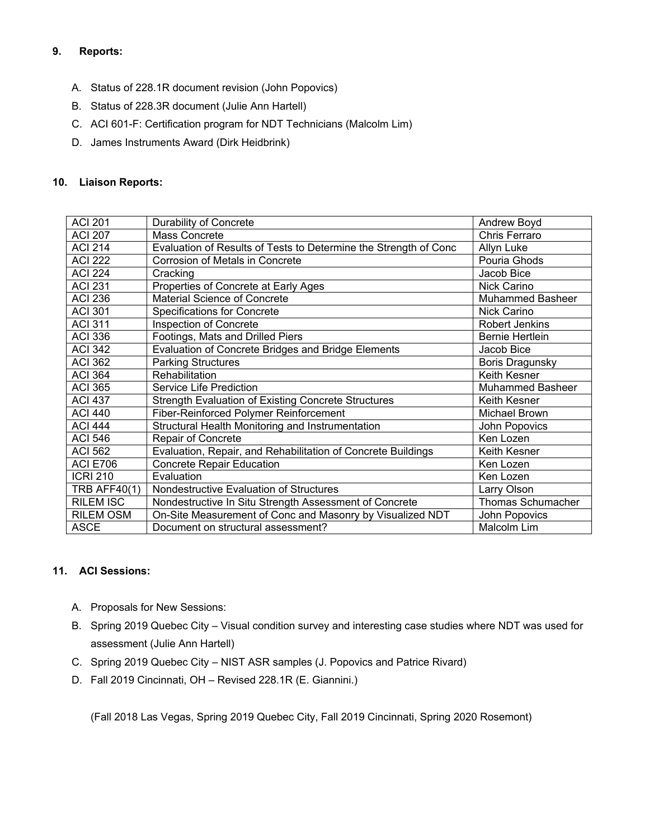### **9. Reports:**

- A. Status of 228.1R document revision (John Popovics)
- B. Status of 228.3R document (Julie Ann Hartell)
- C. ACI 601-F: Certification program for NDT Technicians (Malcolm Lim)
- D. James Instruments Award (Dirk Heidbrink)

#### **10. Liaison Reports:**

| <b>ACI 201</b>      | <b>Durability of Concrete</b>                                    | Andrew Boyd              |
|---------------------|------------------------------------------------------------------|--------------------------|
| <b>ACI 207</b>      | Mass Concrete                                                    | Chris Ferraro            |
| <b>ACI 214</b>      | Evaluation of Results of Tests to Determine the Strength of Conc | Allyn Luke               |
| <b>ACI 222</b>      | Corrosion of Metals in Concrete                                  | Pouria Ghods             |
| <b>ACI 224</b>      | Cracking                                                         | Jacob Bice               |
| <b>ACI 231</b>      | Properties of Concrete at Early Ages                             | Nick Carino              |
| <b>ACI 236</b>      | Material Science of Concrete                                     | <b>Muhammed Basheer</b>  |
| <b>ACI 301</b>      | <b>Specifications for Concrete</b>                               | Nick Carino              |
| <b>ACI 311</b>      | <b>Inspection of Concrete</b>                                    | <b>Robert Jenkins</b>    |
| <b>ACI 336</b>      | Footings, Mats and Drilled Piers                                 | <b>Bernie Hertlein</b>   |
| <b>ACI 342</b>      | Evaluation of Concrete Bridges and Bridge Elements               | Jacob Bice               |
| <b>ACI 362</b>      | <b>Parking Structures</b>                                        | Boris Dragunsky          |
| <b>ACI 364</b>      | <b>Rehabilitation</b>                                            | Keith Kesner             |
| <b>ACI 365</b>      | Service Life Prediction                                          | <b>Muhammed Basheer</b>  |
| <b>ACI 437</b>      | <b>Strength Evaluation of Existing Concrete Structures</b>       | Keith Kesner             |
| <b>ACI 440</b>      | Fiber-Reinforced Polymer Reinforcement                           | Michael Brown            |
| <b>ACI 444</b>      | Structural Health Monitoring and Instrumentation                 | John Popovics            |
| <b>ACI 546</b>      | Repair of Concrete                                               | Ken Lozen                |
| <b>ACI 562</b>      | Evaluation, Repair, and Rehabilitation of Concrete Buildings     | Keith Kesner             |
| <b>ACI E706</b>     | <b>Concrete Repair Education</b>                                 | Ken Lozen                |
| <b>ICRI 210</b>     | Evaluation                                                       | Ken Lozen                |
| <b>TRB AFF40(1)</b> | Nondestructive Evaluation of Structures                          | Larry Olson              |
| <b>RILEM ISC</b>    | Nondestructive In Situ Strength Assessment of Concrete           | <b>Thomas Schumacher</b> |
| <b>RILEM OSM</b>    | On-Site Measurement of Conc and Masonry by Visualized NDT        | John Popovics            |
| <b>ASCE</b>         | Document on structural assessment?                               | Malcolm Lim              |

#### **11. ACI Sessions:**

- A. Proposals for New Sessions:
- B. Spring 2019 Quebec City Visual condition survey and interesting case studies where NDT was used for assessment (Julie Ann Hartell)
- C. Spring 2019 Quebec City NIST ASR samples (J. Popovics and Patrice Rivard)
- D. Fall 2019 Cincinnati, OH Revised 228.1R (E. Giannini.)

(Fall 2018 Las Vegas, Spring 2019 Quebec City, Fall 2019 Cincinnati, Spring 2020 Rosemont)